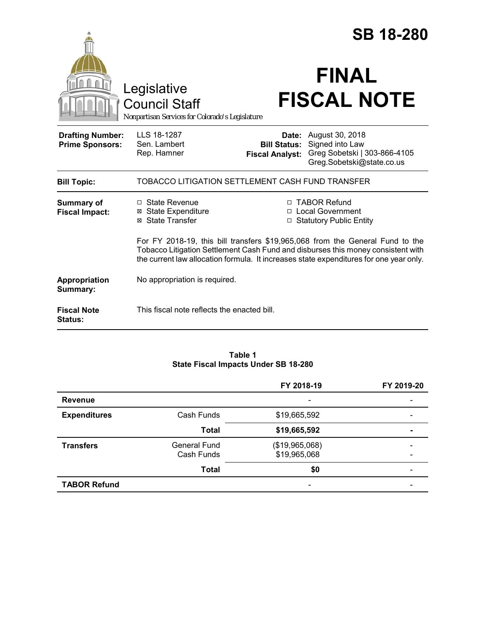|                                                   |                                                                                                                                                                                                                                                             |                                                        | <b>SB 18-280</b>                                                                                |  |
|---------------------------------------------------|-------------------------------------------------------------------------------------------------------------------------------------------------------------------------------------------------------------------------------------------------------------|--------------------------------------------------------|-------------------------------------------------------------------------------------------------|--|
|                                                   | Legislative<br><b>Council Staff</b><br>Nonpartisan Services for Colorado's Legislature                                                                                                                                                                      |                                                        | <b>FINAL</b><br><b>FISCAL NOTE</b>                                                              |  |
| <b>Drafting Number:</b><br><b>Prime Sponsors:</b> | LLS 18-1287<br>Sen. Lambert<br>Rep. Hamner                                                                                                                                                                                                                  | Date:<br><b>Bill Status:</b><br><b>Fiscal Analyst:</b> | August 30, 2018<br>Signed into Law<br>Greg Sobetski   303-866-4105<br>Greg.Sobetski@state.co.us |  |
| <b>Bill Topic:</b>                                | TOBACCO LITIGATION SETTLEMENT CASH FUND TRANSFER                                                                                                                                                                                                            |                                                        |                                                                                                 |  |
| <b>Summary of</b><br><b>Fiscal Impact:</b>        | $\Box$ State Revenue<br><b>State Expenditure</b><br>⊠<br><b>State Transfer</b><br>⊠                                                                                                                                                                         |                                                        | □ TABOR Refund<br>□ Local Government<br><b>Statutory Public Entity</b>                          |  |
|                                                   | For FY 2018-19, this bill transfers \$19,965,068 from the General Fund to the<br>Tobacco Litigation Settlement Cash Fund and disburses this money consistent with<br>the current law allocation formula. It increases state expenditures for one year only. |                                                        |                                                                                                 |  |
| Appropriation<br>Summary:                         | No appropriation is required.                                                                                                                                                                                                                               |                                                        |                                                                                                 |  |
| <b>Fiscal Note</b><br><b>Status:</b>              | This fiscal note reflects the enacted bill.                                                                                                                                                                                                                 |                                                        |                                                                                                 |  |

# **Table 1 State Fiscal Impacts Under SB 18-280**

|                     |                                   | FY 2018-19                     | FY 2019-20 |
|---------------------|-----------------------------------|--------------------------------|------------|
| <b>Revenue</b>      |                                   | $\overline{\phantom{a}}$       |            |
| <b>Expenditures</b> | Cash Funds                        | \$19,665,592                   |            |
|                     | <b>Total</b>                      | \$19,665,592                   |            |
| <b>Transfers</b>    | <b>General Fund</b><br>Cash Funds | (\$19,965,068)<br>\$19,965,068 |            |
|                     | <b>Total</b>                      | \$0                            |            |
| <b>TABOR Refund</b> |                                   |                                |            |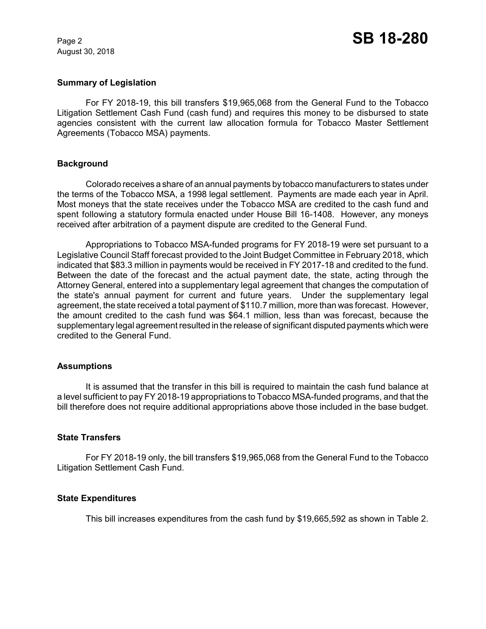August 30, 2018

## **Summary of Legislation**

For FY 2018-19, this bill transfers \$19,965,068 from the General Fund to the Tobacco Litigation Settlement Cash Fund (cash fund) and requires this money to be disbursed to state agencies consistent with the current law allocation formula for Tobacco Master Settlement Agreements (Tobacco MSA) payments.

## **Background**

Colorado receives a share of an annual payments by tobacco manufacturers to states under the terms of the Tobacco MSA, a 1998 legal settlement. Payments are made each year in April. Most moneys that the state receives under the Tobacco MSA are credited to the cash fund and spent following a statutory formula enacted under House Bill 16-1408. However, any moneys received after arbitration of a payment dispute are credited to the General Fund.

Appropriations to Tobacco MSA-funded programs for FY 2018-19 were set pursuant to a Legislative Council Staff forecast provided to the Joint Budget Committee in February 2018, which indicated that \$83.3 million in payments would be received in FY 2017-18 and credited to the fund. Between the date of the forecast and the actual payment date, the state, acting through the Attorney General, entered into a supplementary legal agreement that changes the computation of the state's annual payment for current and future years. Under the supplementary legal agreement, the state received a total payment of \$110.7 million, more than was forecast. However, the amount credited to the cash fund was \$64.1 million, less than was forecast, because the supplementary legal agreement resulted in the release of significant disputed payments which were credited to the General Fund.

## **Assumptions**

It is assumed that the transfer in this bill is required to maintain the cash fund balance at a level sufficient to pay FY 2018-19 appropriations to Tobacco MSA-funded programs, and that the bill therefore does not require additional appropriations above those included in the base budget.

## **State Transfers**

For FY 2018-19 only, the bill transfers \$19,965,068 from the General Fund to the Tobacco Litigation Settlement Cash Fund.

#### **State Expenditures**

This bill increases expenditures from the cash fund by \$19,665,592 as shown in Table 2.